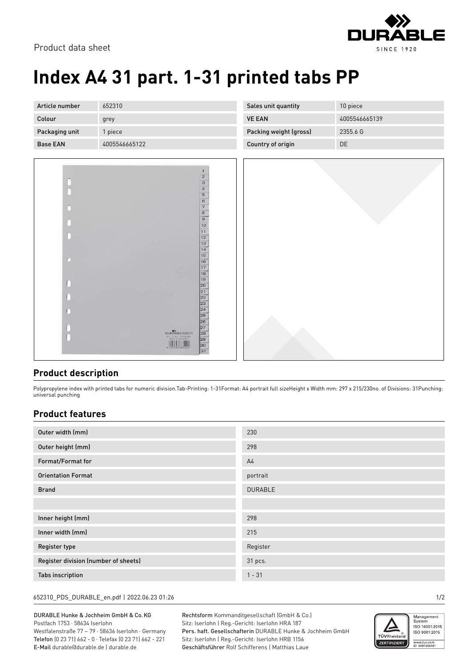

## **Index A4 31 part. 1-31 printed tabs PP**

| Article number  | 652310        | Sales unit quantity    | 10 piece      |
|-----------------|---------------|------------------------|---------------|
| Colour          | grey          | <b>VE EAN</b>          | 4005546665139 |
| Packaging unit  | piece         | Packing weight (gross) | 2355.6 G      |
| <b>Base EAN</b> | 4005546665122 | Country of origin      | DE            |
|                 |               |                        |               |



## **Product description**

Polypropylene index with printed tabs for numeric division.Tab-Printing: 1-31Format: A4 portrait full sizeHeight x Width mm: 297 x 215/230no. of Divisions: 31Punching: universal punching

## **Product features**

| Outer width (mm)                     | 230            |
|--------------------------------------|----------------|
| Outer height (mm)                    | 298            |
| Format/Format for                    | A <sub>4</sub> |
| <b>Orientation Format</b>            | portrait       |
| <b>Brand</b>                         | <b>DURABLE</b> |
|                                      |                |
| Inner height (mm)                    | 298            |
| Inner width (mm)                     | 215            |
| Register type                        | Register       |
| Register division (number of sheets) | 31 pcs.        |
| <b>Tabs inscription</b>              | $1 - 31$       |

652310\_PDS\_DURABLE\_en.pdf | 2022.06.23 01:26 1/2

DURABLE Hunke & Jochheim GmbH & Co.KG Postfach 1753 · 58634 Iserlohn Westfalenstraße 77 – 79 · 58636 Iserlohn · Germany Telefon (0 23 71) 662 - 0 · Telefax (0 23 71) 662 - 221 E-Mail durable@durable.de | durable.de

Rechtsform Kommanditgesellschaft (GmbH & Co.) Sitz: Iserlohn | Reg.-Gericht: Iserlohn HRA 187 Pers. haft. Gesellschafterin DURABLE Hunke & Jochheim GmbH Sitz: Iserlohn | Reg.-Gericht: Iserlohn HRB 1156 Geschäftsführer Rolf Schifferens | Matthias Laue